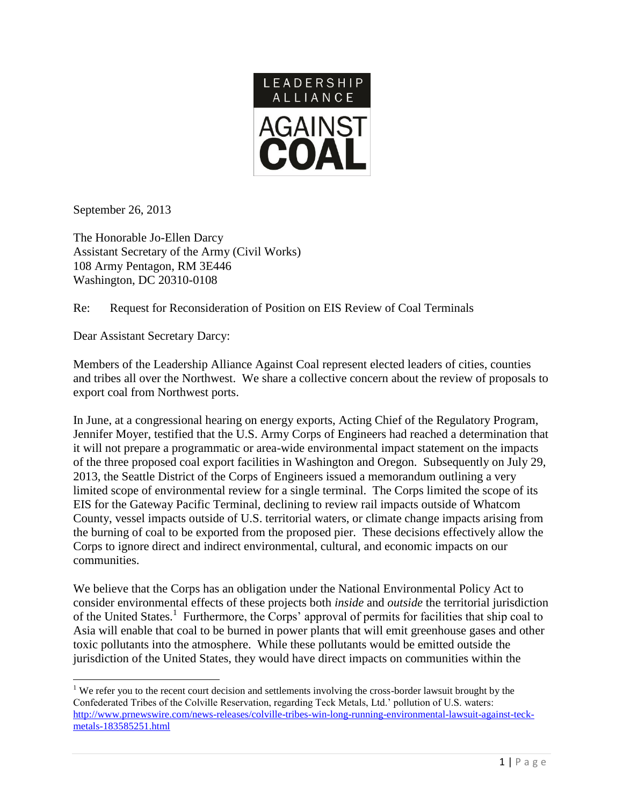

September 26, 2013

 $\overline{\phantom{a}}$ 

The Honorable Jo-Ellen Darcy Assistant Secretary of the Army (Civil Works) 108 Army Pentagon, RM 3E446 Washington, DC 20310-0108

Re: Request for Reconsideration of Position on EIS Review of Coal Terminals

Dear Assistant Secretary Darcy:

Members of the Leadership Alliance Against Coal represent elected leaders of cities, counties and tribes all over the Northwest. We share a collective concern about the review of proposals to export coal from Northwest ports.

In June, at a congressional hearing on energy exports, Acting Chief of the Regulatory Program, Jennifer Moyer, testified that the U.S. Army Corps of Engineers had reached a determination that it will not prepare a programmatic or area-wide environmental impact statement on the impacts of the three proposed coal export facilities in Washington and Oregon. Subsequently on July 29, 2013, the Seattle District of the Corps of Engineers issued a memorandum outlining a very limited scope of environmental review for a single terminal. The Corps limited the scope of its EIS for the Gateway Pacific Terminal, declining to review rail impacts outside of Whatcom County, vessel impacts outside of U.S. territorial waters, or climate change impacts arising from the burning of coal to be exported from the proposed pier. These decisions effectively allow the Corps to ignore direct and indirect environmental, cultural, and economic impacts on our communities.

We believe that the Corps has an obligation under the National Environmental Policy Act to consider environmental effects of these projects both *inside* and *outside* the territorial jurisdiction of the United States.<sup>1</sup> Furthermore, the Corps' approval of permits for facilities that ship coal to Asia will enable that coal to be burned in power plants that will emit greenhouse gases and other toxic pollutants into the atmosphere. While these pollutants would be emitted outside the jurisdiction of the United States, they would have direct impacts on communities within the

<sup>&</sup>lt;sup>1</sup> We refer you to the recent court decision and settlements involving the cross-border lawsuit brought by the Confederated Tribes of the Colville Reservation, regarding Teck Metals, Ltd.' pollution of U.S. waters: [http://www.prnewswire.com/news-releases/colville-tribes-win-long-running-environmental-lawsuit-against-teck](http://www.prnewswire.com/news-releases/colville-tribes-win-long-running-environmental-lawsuit-against-teck-metals-183585251.html)[metals-183585251.html](http://www.prnewswire.com/news-releases/colville-tribes-win-long-running-environmental-lawsuit-against-teck-metals-183585251.html)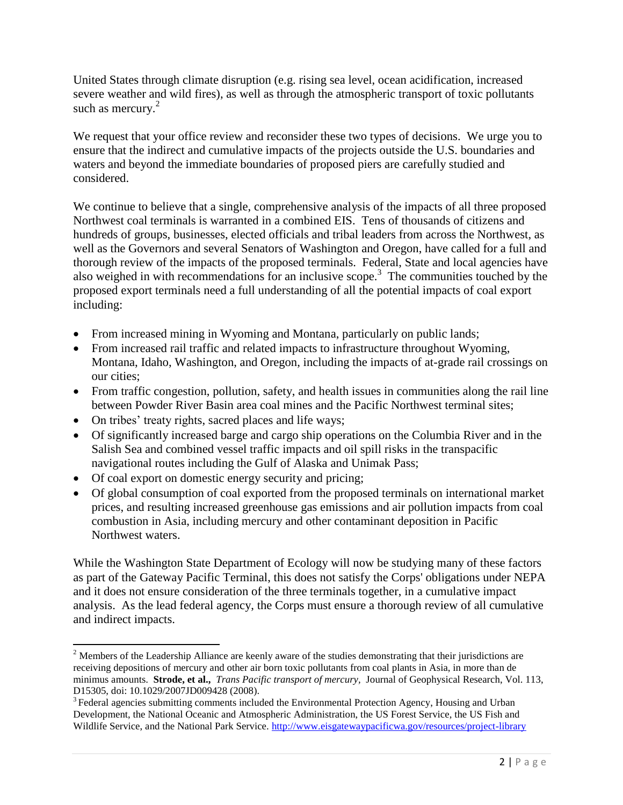United States through climate disruption (e.g. rising sea level, ocean acidification, increased severe weather and wild fires), as well as through the atmospheric transport of toxic pollutants such as mercury. $2$ 

We request that your office review and reconsider these two types of decisions. We urge you to ensure that the indirect and cumulative impacts of the projects outside the U.S. boundaries and waters and beyond the immediate boundaries of proposed piers are carefully studied and considered.

We continue to believe that a single, comprehensive analysis of the impacts of all three proposed Northwest coal terminals is warranted in a combined EIS. Tens of thousands of citizens and hundreds of groups, businesses, elected officials and tribal leaders from across the Northwest, as well as the Governors and several Senators of Washington and Oregon, have called for a full and thorough review of the impacts of the proposed terminals. Federal, State and local agencies have also weighed in with recommendations for an inclusive scope. 3 The communities touched by the proposed export terminals need a full understanding of all the potential impacts of coal export including:

- From increased mining in Wyoming and Montana, particularly on public lands;
- From increased rail traffic and related impacts to infrastructure throughout Wyoming, Montana, Idaho, Washington, and Oregon, including the impacts of at-grade rail crossings on our cities;
- From traffic congestion, pollution, safety, and health issues in communities along the rail line between Powder River Basin area coal mines and the Pacific Northwest terminal sites;
- On tribes' treaty rights, sacred places and life ways;
- Of significantly increased barge and cargo ship operations on the Columbia River and in the Salish Sea and combined vessel traffic impacts and oil spill risks in the transpacific navigational routes including the Gulf of Alaska and Unimak Pass;
- Of coal export on domestic energy security and pricing;

 $\overline{\phantom{a}}$ 

 Of global consumption of coal exported from the proposed terminals on international market prices, and resulting increased greenhouse gas emissions and air pollution impacts from coal combustion in Asia, including mercury and other contaminant deposition in Pacific Northwest waters.

While the Washington State Department of Ecology will now be studying many of these factors as part of the Gateway Pacific Terminal, this does not satisfy the Corps' obligations under NEPA and it does not ensure consideration of the three terminals together, in a cumulative impact analysis. As the lead federal agency, the Corps must ensure a thorough review of all cumulative and indirect impacts.

<sup>&</sup>lt;sup>2</sup> Members of the Leadership Alliance are keenly aware of the studies demonstrating that their jurisdictions are receiving depositions of mercury and other air born toxic pollutants from coal plants in Asia, in more than de minimus amounts. **Strode, et al.,** *Trans Pacific transport of mercury,* Journal of Geophysical Research, Vol. 113, D15305, doi: 10.1029/2007JD009428 (2008).

<sup>&</sup>lt;sup>3</sup> Federal agencies submitting comments included the Environmental Protection Agency, Housing and Urban Development, the National Oceanic and Atmospheric Administration, the US Forest Service, the US Fish and Wildlife Service, and the National Park Service.<http://www.eisgatewaypacificwa.gov/resources/project-library>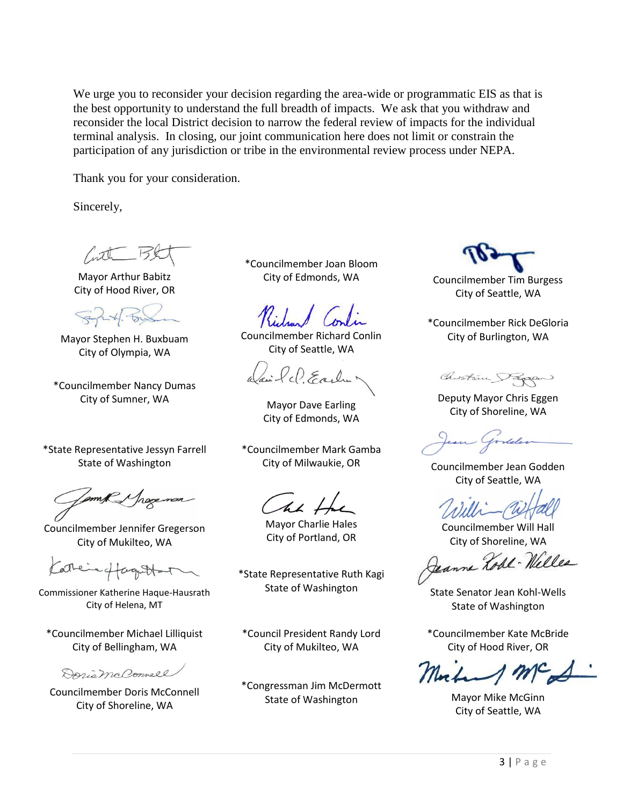We urge you to reconsider your decision regarding the area-wide or programmatic EIS as that is the best opportunity to understand the full breadth of impacts. We ask that you withdraw and reconsider the local District decision to narrow the federal review of impacts for the individual terminal analysis. In closing, our joint communication here does not limit or constrain the participation of any jurisdiction or tribe in the environmental review process under NEPA.

Thank you for your consideration.

Sincerely,

Mayor Arthur Babitz City of Hood River, OR

Mayor Stephen H. Buxbuam City of Olympia, WA

\*Councilmember Nancy Dumas City of Sumner, WA Mayor Dave Earling

\*State Representative Jessyn Farrell State of Washington

am R J hog

Councilmember Jennifer Gregerson City of Mukilteo, WA

Kathere fagottat

Commissioner Katherine Haque-Hausrath City of Helena, MT

\*Councilmember Michael Lilliquist City of Bellingham, WA

Daring Poonell

Councilmember Doris McConnell City of Shoreline, WA

\*Councilmember Joan Bloom

Councilmember Richard Conlin City of Seattle, WA

ci le Early

City of Edmonds, WA

\*Councilmember Mark Gamba

Cht H

Mayor Charlie Hales City of Portland, OR

\*State Representative Ruth Kagi

\*Council President Randy Lord City of Mukilteo, WA

\*Congressman Jim McDermott State of Washington Mayor Mike McGinn

City of Edmonds, WA Councilmember Tim Burgess City of Seattle, WA

\*Councilmember Rick DeGloria City of Burlington, WA

Chistin Pagon

Deputy Mayor Chris Eggen City of Shoreline, WA

City of Milwaukie, OR Councilmember Jean Godden City of Seattle, WA

Councilmember Will Hall

City of Shoreline, WA<br>Geanne *Lohl* - Welles

State of Washington State Senator Jean Kohl-Wells State of Washington

\*Councilmember Kate McBride City of Hood River, OR

City of Seattle, WA